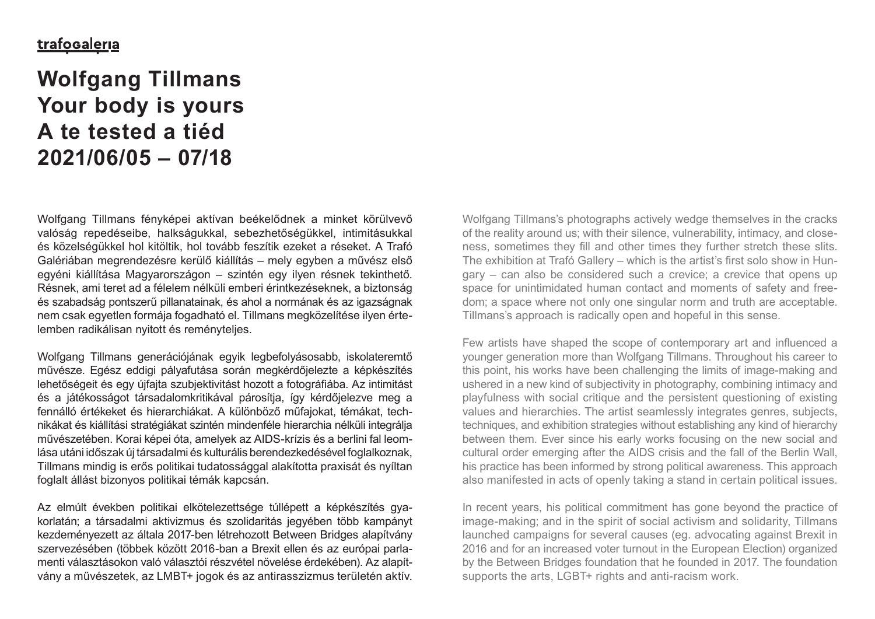# **Wolfgang Tillmans Your body is yours A te tested a tiéd 2021/06/05 – 07/18**

Wolfgang Tillmans fényképei aktívan beékelődnek a minket körülvevő valóság repedéseibe, halkságukkal, sebezhetőségükkel, intimitásukkal és közelségükkel hol kitöltik, hol tovább feszítik ezeket a réseket. A Trafó Galériában megrendezésre kerülő kiállítás – mely egyben a művész első egyéni kiállítása Magyarországon – szintén egy ilyen résnek tekinthető. Résnek, ami teret ad a félelem nélküli emberi érintkezéseknek, a biztonság és szabadság pontszerű pillanatainak, és ahol a normának és az igazságnak nem csak egyetlen formája fogadható el. Tillmans megközelítése ilyen értelemben radikálisan nyitott és reményteljes.

Wolfgang Tillmans generációjának egyik legbefolyásosabb, iskolateremtő művésze. Egész eddigi pályafutása során megkérdőjelezte a képkészítés lehetőségeit és egy újfajta szubjektivitást hozott a fotográfiába. Az intimitást és a játékosságot társadalomkritikával párosítja, így kérdőjelezve meg a fennálló értékeket és hierarchiákat. A különböző műfajokat, témákat, technikákat és kiállítási stratégiákat szintén mindenféle hierarchia nélküli integrálja művészetében. Korai képei óta, amelyek az AIDS-krízis és a berlini fal leomlása utáni időszak új társadalmi és kulturális berendezkedésével foglalkoznak, Tillmans mindig is erős politikai tudatossággal alakította praxisát és nyíltan foglalt állást bizonyos politikai témák kapcsán.

Az elmúlt években politikai elkötelezettsége túllépett a képkészítés gyakorlatán; a társadalmi aktivizmus és szolidaritás jegyében több kampányt kezdeményezett az általa 2017-ben létrehozott Between Bridges alapítvány szervezésében (többek között 2016-ban a Brexit ellen és az európai parlamenti választásokon való választói részvétel növelése érdekében). Az alapítvány a művészetek, az LMBT+ jogok és az antirasszizmus területén aktív.

Wolfgang Tillmans's photographs actively wedge themselves in the cracks of the reality around us; with their silence, vulnerability, intimacy, and closeness, sometimes they fill and other times they further stretch these slits. The exhibition at Trafó Gallery – which is the artist's first solo show in Hungary – can also be considered such a crevice; a crevice that opens up space for unintimidated human contact and moments of safety and freedom; a space where not only one singular norm and truth are acceptable. Tillmans's approach is radically open and hopeful in this sense.

Few artists have shaped the scope of contemporary art and influenced a younger generation more than Wolfgang Tillmans. Throughout his career to this point, his works have been challenging the limits of image-making and ushered in a new kind of subjectivity in photography, combining intimacy and playfulness with social critique and the persistent questioning of existing values and hierarchies. The artist seamlessly integrates genres, subjects, techniques, and exhibition strategies without establishing any kind of hierarchy between them. Ever since his early works focusing on the new social and cultural order emerging after the AIDS crisis and the fall of the Berlin Wall, his practice has been informed by strong political awareness. This approach also manifested in acts of openly taking a stand in certain political issues.

In recent years, his political commitment has gone beyond the practice of image-making; and in the spirit of social activism and solidarity, Tillmans launched campaigns for several causes (eg. advocating against Brexit in 2016 and for an increased voter turnout in the European Election) organized by the Between Bridges foundation that he founded in 2017. The foundation supports the arts, LGBT+ rights and anti-racism work.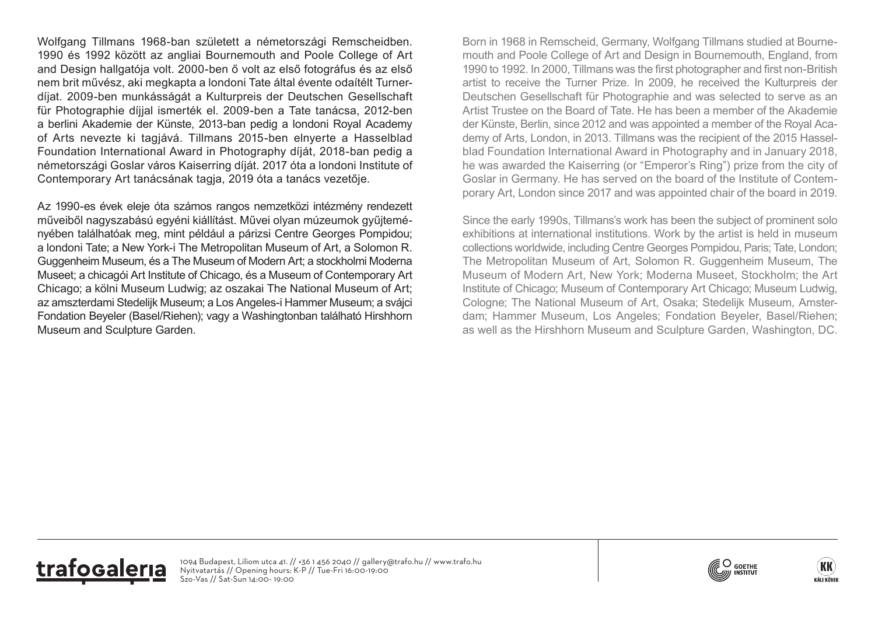Wolfgang Tillmans 1968-ban született a németországi Remscheidben. 1990 és 1992 között az angliai Bournemouth and Poole College of Art and Design hallgatója volt. 2000-ben ő volt az első fotográfus és az első nem brit művész, aki megkapta a londoni Tate által évente odaítélt Turnerdíjat. 2009-ben munkásságát a Kulturpreis der Deutschen Gesellschaft für Photographie díjjal ismerték el. 2009-ben a Tate tanácsa, 2012-ben a berlini Akademie der Künste, 2013-ban pedig a londoni Royal Academy of Arts nevezte ki tagjává. Tillmans 2015-ben elnyerte a Hasselblad Foundation International Award in Photography díját, 2018-ban pedig a németországi Goslar város Kaiserring díját. 2017 óta a londoni Institute of Contemporary Art tanácsának tagja, 2019 óta a tanács vezetője.

Az 1990-es évek eleje óta számos rangos nemzetközi intézmény rendezett műveiből nagyszabású egyéni kiállítást. Művei olyan múzeumok gyűjteményében találhatóak meg, mint például a párizsi Centre Georges Pompidou; a londoni Tate; a New York-i The Metropolitan Museum of Art, a Solomon R. Guggenheim Museum, és a The Museum of Modern Art; a stockholmi Moderna Museet; a chicagói Art Institute of Chicago, és a Museum of Contemporary Art Chicago; a kölni Museum Ludwig; az oszakai The National Museum of Art; az amszterdami Stedelijk Museum; a Los Angeles-i Hammer Museum; a svájci Fondation Beyeler (Basel/Riehen); vagy a Washingtonban található Hirshhorn Museum and Sculpture Garden.

Born in 1968 in Remscheid, Germany, Wolfgang Tillmans studied at Bournemouth and Poole College of Art and Design in Bournemouth, England, from 1990 to 1992. In 2000, Tillmans was the first photographer and first non-British artist to receive the Turner Prize. In 2009, he received the Kulturpreis der Deutschen Gesellschaft für Photographie and was selected to serve as an Artist Trustee on the Board of Tate. He has been a member of the Akademie der Künste, Berlin, since 2012 and was appointed a member of the Royal Academy of Arts, London, in 2013. Tillmans was the recipient of the 2015 Hasselblad Foundation International Award in Photography and in January 2018, he was awarded the Kaiserring (or "Emperor's Ring") prize from the city of Goslar in Germany. He has served on the board of the Institute of Contemporary Art, London since 2017 and was appointed chair of the board in 2019.

Since the early 1990s, Tillmans's work has been the subject of prominent solo exhibitions at international institutions. Work by the artist is held in museum collections worldwide, including Centre Georges Pompidou, Paris; Tate, London; The Metropolitan Museum of Art, Solomon R. Guggenheim Museum, The Museum of Modern Art, New York; Moderna Museet, Stockholm; the Art Institute of Chicago; Museum of Contemporary Art Chicago; Museum Ludwig, Cologne; The National Museum of Art, Osaka; Stedelijk Museum, Amsterdam; Hammer Museum, Los Angeles; Fondation Beyeler, Basel/Riehen; as well as the Hirshhorn Museum and Sculpture Garden, Washington, DC.





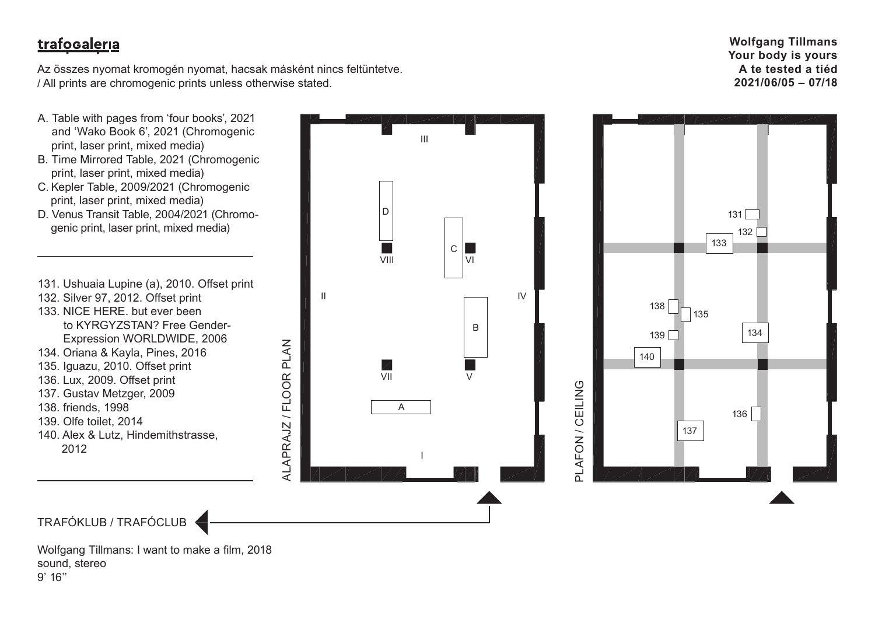Az összes nyomat kromogén nyomat, hacsak másként nincs feltüntetve. / All prints are chromogenic prints unless otherwise stated.

ALAPRAJZ / FLOOR PLAN

ALAPRAJZ / FLOOR PLAN

- A. Table with pages from 'four books', 2021 and 'Wako Book 6', 2021 (Chromogenic print, laser print, mixed media)
- B. Time Mirrored Table, 2021 (Chromogenic print, laser print, mixed media)
- C. Kepler Table, 2009/2021 (Chromogenic print, laser print, mixed media)
- D. Venus Transit Table, 2004/2021 (Chromo genic print, laser print, mixed media)

131. Ushuaia Lupine (a), 2010. Offset print 132. Silver 97, 2012. Offset print

- 133. NICE HERE. but ever been to KYRGYZSTAN? Free Gender- Expression WORLDWIDE, 2006
- 134. Oriana & Kayla, Pines, 2016
- 135. Iguazu, 2010. Offset print
- 136. Lux, 2009. Offset print
- 137. Gustav Metzger, 2009
- 138. friends, 1998
- 139. Olfe toilet, 2014
- 140. Alex & Lutz, Hindemithstrasse,

2012

TRAFÓKLUB / TRAFÓCLUB

Wolfgang Tillmans: I want to make a film, 2018 sound, stereo 9' 16''







III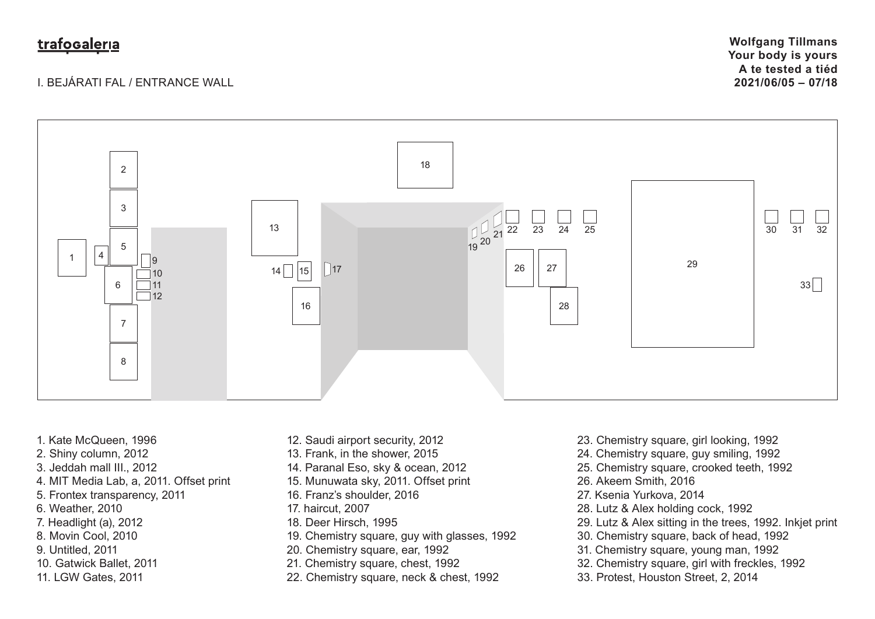#### I. BEJÁRATI FAL / ENTRANCE WALL

**Wolfgang Tillmans Your body is yours A te tested a tiéd 2021/06/05 – 07/18**



- 1. Kate McQueen, 1996
- 2. Shiny column, 2012
- 3. Jeddah mall III., 2012
- 4. MIT Media Lab, a, 2011. Offset print
- 5. Frontex transparency, 2011
- 6. Weather, 2010
- 7. Headlight (a), 2012
- 8. Movin Cool, 2010
- 9. Untitled, 2011
- 10. Gatwick Ballet, 2011
- 11. LGW Gates, 2011
- 12. Saudi airport security, 2012
- 13. Frank, in the shower, 2015
- 14. Paranal Eso, sky & ocean, 2012
- 15. Munuwata sky, 2011. Offset print
- 16. Franz's shoulder, 2016
- 17. haircut, 2007
- 18. Deer Hirsch, 1995
- 19. Chemistry square, guy with glasses, 1992
- 20. Chemistry square, ear, 1992
- 21. Chemistry square, chest, 1992
- 22. Chemistry square, neck & chest, 1992
- 23. Chemistry square, girl looking, 1992
- 24. Chemistry square, guy smiling, 1992
- 25. Chemistry square, crooked teeth, 1992
- 26. Akeem Smith, 2016
- 27. Ksenia Yurkova, 2014
- 28. Lutz & Alex holding cock, 1992
- 29. Lutz & Alex sitting in the trees, 1992. Inkjet print
- 30. Chemistry square, back of head, 1992
- 31. Chemistry square, young man, 1992
- 32. Chemistry square, girl with freckles, 1992
- 33. Protest, Houston Street, 2, 2014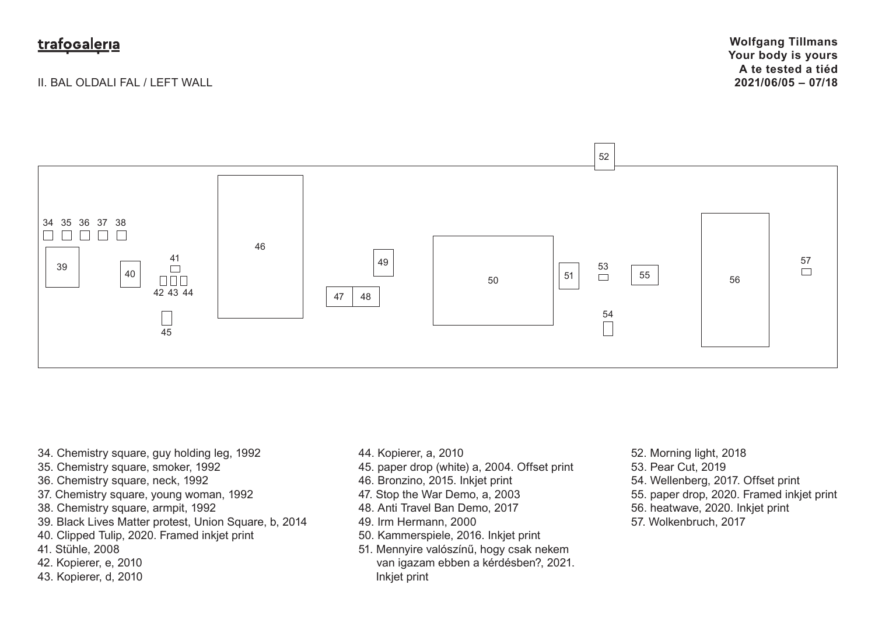II. BAL OLDALI FAL / LEFT WALL



- 34. Chemistry square, guy holding leg, 1992
- 35. Chemistry square, smoker, 1992
- 36. Chemistry square, neck, 1992
- 37. Chemistry square, young woman, 1992
- 38. Chemistry square, armpit, 1992
- 39. Black Lives Matter protest, Union Square, b, 2014
- 40. Clipped Tulip, 2020. Framed inkjet print
- 41. Stühle, 2008
- 42. Kopierer, e, 2010
- 43. Kopierer, d, 2010
- 44. Kopierer, a, 2010
- 45. paper drop (white) a, 2004. Offset print
- 46. Bronzino, 2015. Inkjet print
- 47. Stop the War Demo, a, 2003
- 48. Anti Travel Ban Demo, 2017
- 49. Irm Hermann, 2000
- 50. Kammerspiele, 2016. Inkjet print
- 51. Mennyire valószínű, hogy csak nekem van igazam ebben a kérdésben?, 2021. Inkjet print
- 52. Morning light, 2018 53. Pear Cut, 2019 54. Wellenberg, 2017. Offset print 55. paper drop, 2020. Framed inkjet print 56. heatwave, 2020. Inkjet print 57. Wolkenbruch, 2017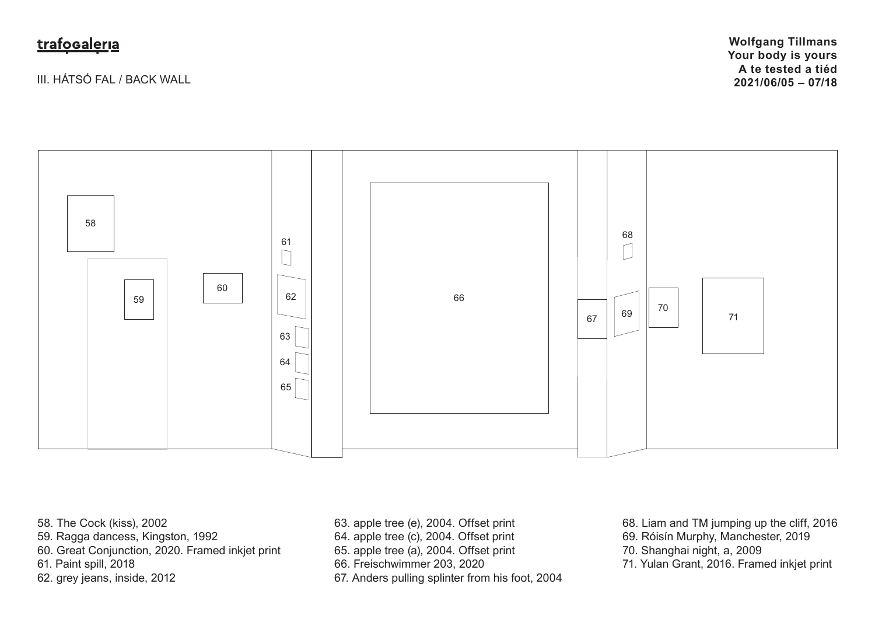III. HÁTSÓ FAL / BACK WALL

**Wolfgang Tillmans Your body is yours A te tested a tiéd 2021/06/05 – 07/18**



58. The Cock (kiss), 2002

- 59. Ragga dancess, Kingston, 1992
- 60. Great Conjunction, 2020. Framed inkjet print

61. Paint spill, 2018

62. grey jeans, inside, 2012

63. apple tree (e), 2004. Offset print

- 64. apple tree (c), 2004. Offset print
- 65. apple tree (a), 2004. Offset print

66. Freischwimmer 203, 2020

67. Anders pulling splinter from his foot, 2004

68. Liam and TM jumping up the cliff, 2016 69. Róisín Murphy, Manchester, 2019

70. Shanghai night, a, 2009

71. Yulan Grant, 2016. Framed inkjet print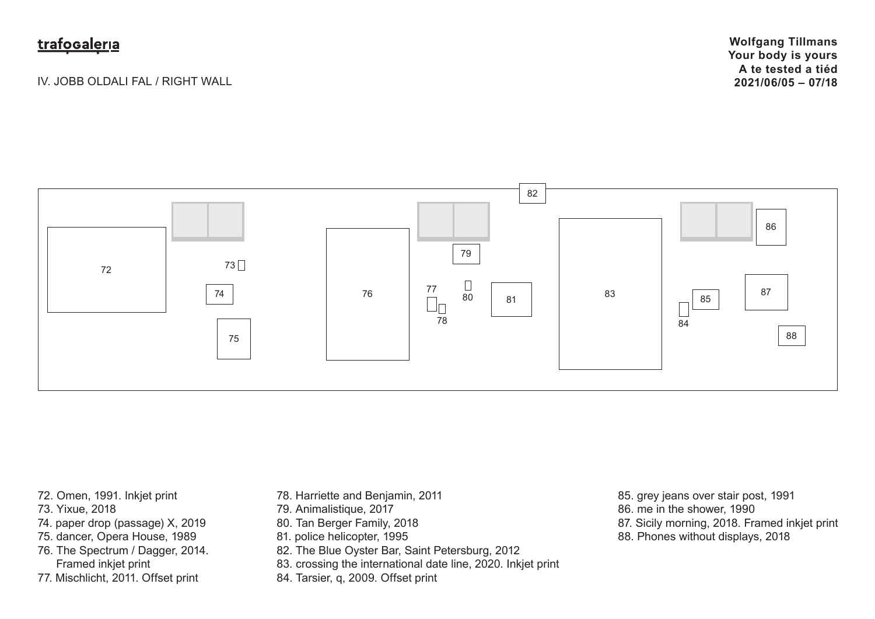IV. JOBB OLDALI FAL / RIGHT WALL

**Wolfgang Tillmans Your body is yours A te tested a tiéd 2021/06/05 – 07/18**



- 72. Omen, 1991. Inkjet print
- 73. Yixue, 2018
- 74. paper drop (passage) X, 2019
- 75. dancer, Opera House, 1989
- 76. The Spectrum / Dagger, 2014.
- Framed inkjet print
- 77. Mischlicht, 2011. Offset print
- 78. Harriette and Benjamin, 2011
- 79. Animalistique, 2017
- 80. Tan Berger Family, 2018
- 81. police helicopter, 1995
- 82. The Blue Oyster Bar, Saint Petersburg, 2012
- 83. crossing the international date line, 2020. Inkjet print
- 84. Tarsier, q, 2009. Offset print
- 85. grey jeans over stair post, 1991
- 86. me in the shower, 1990
- 87. Sicily morning, 2018. Framed inkjet print
- 88. Phones without displays, 2018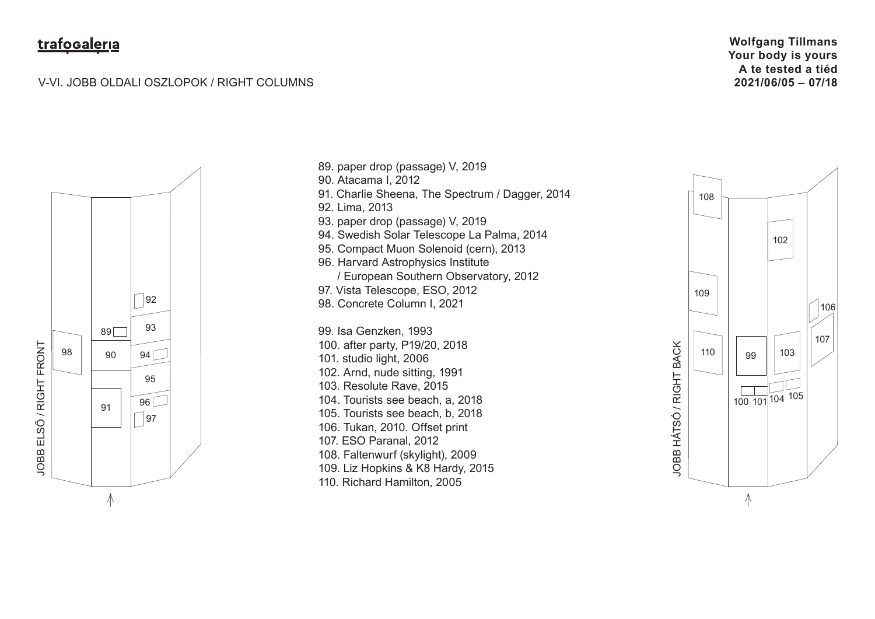#### V-VI. JOBB OLDALI OSZLOPOK / RIGHT COLUMNS

**Wolfgang Tillmans Your body is yours A te tested a tiéd 2021/06/05 – 07/18**



89. paper drop (passage) V, 2019 90. Atacama I, 2012 91. Charlie Sheena, The Spectrum / Dagger, 2014 92. Lima, 2013 93. paper drop (passage) V, 2019 94. Swedish Solar Telescope La Palma, 2014 95. Compact Muon Solenoid (cern), 2013 96. Harvard Astrophysics Institute / European Southern Observatory, 2012 97. Vista Telescope, ESO, 2012 98. Concrete Column I, 2021 99. Isa Genzken, 1993 100. after party, P19/20, 2018 101. studio light, 2006 102. Arnd, nude sitting, 1991 103. Resolute Rave, 2015 104. Tourists see beach, a, 2018 105. Tourists see beach, b, 2018 106. Tukan, 2010. Offset print 107. ESO Paranal, 2012 108. Faltenwurf (skylight), 2009 109. Liz Hopkins & K8 Hardy, 2015 110. Richard Hamilton, 2005